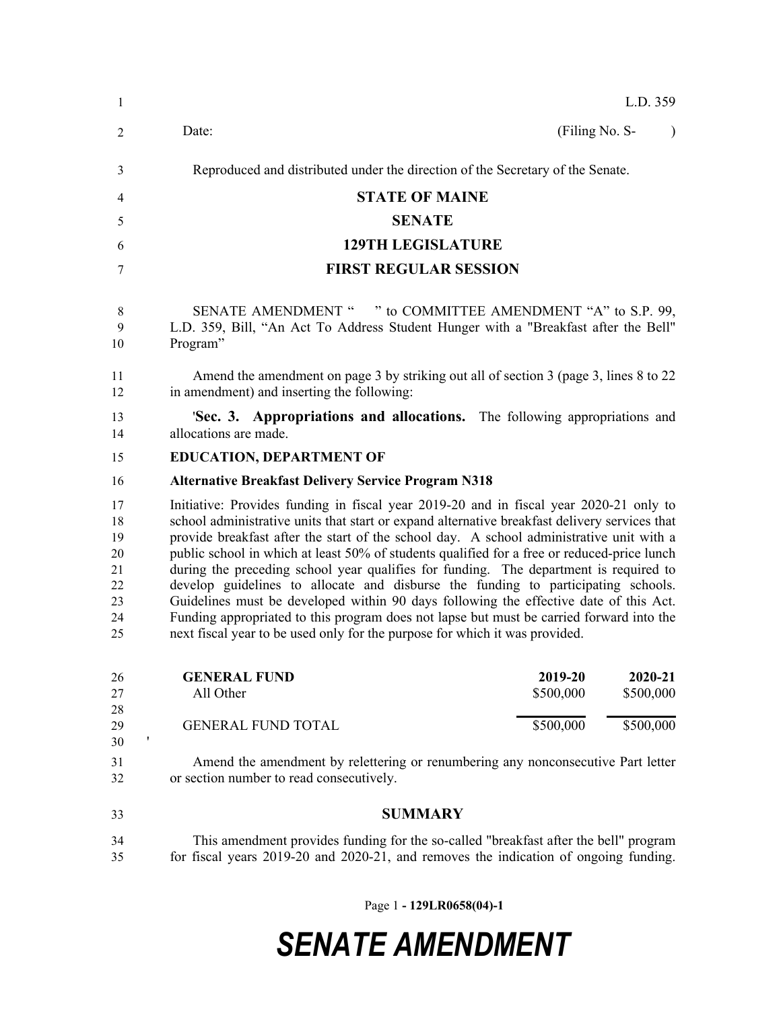| -1                                                 |                                                                                                                                                                                                                                                                                                                                                                                                                                                                                                                                                                                                                                                                                                                                                                                                                                      |                | L.D. 359  |  |
|----------------------------------------------------|--------------------------------------------------------------------------------------------------------------------------------------------------------------------------------------------------------------------------------------------------------------------------------------------------------------------------------------------------------------------------------------------------------------------------------------------------------------------------------------------------------------------------------------------------------------------------------------------------------------------------------------------------------------------------------------------------------------------------------------------------------------------------------------------------------------------------------------|----------------|-----------|--|
| 2                                                  | Date:                                                                                                                                                                                                                                                                                                                                                                                                                                                                                                                                                                                                                                                                                                                                                                                                                                | (Filing No. S- | $\lambda$ |  |
| 3                                                  | Reproduced and distributed under the direction of the Secretary of the Senate.                                                                                                                                                                                                                                                                                                                                                                                                                                                                                                                                                                                                                                                                                                                                                       |                |           |  |
| 4                                                  | <b>STATE OF MAINE</b>                                                                                                                                                                                                                                                                                                                                                                                                                                                                                                                                                                                                                                                                                                                                                                                                                |                |           |  |
| 5                                                  | <b>SENATE</b>                                                                                                                                                                                                                                                                                                                                                                                                                                                                                                                                                                                                                                                                                                                                                                                                                        |                |           |  |
| 6                                                  | <b>129TH LEGISLATURE</b>                                                                                                                                                                                                                                                                                                                                                                                                                                                                                                                                                                                                                                                                                                                                                                                                             |                |           |  |
| 7                                                  | <b>FIRST REGULAR SESSION</b>                                                                                                                                                                                                                                                                                                                                                                                                                                                                                                                                                                                                                                                                                                                                                                                                         |                |           |  |
| 8<br>9<br>10<br>11                                 | SENATE AMENDMENT " " to COMMITTEE AMENDMENT "A" to S.P. 99,<br>L.D. 359, Bill, "An Act To Address Student Hunger with a "Breakfast after the Bell"<br>Program"<br>Amend the amendment on page 3 by striking out all of section 3 (page 3, lines 8 to 22)                                                                                                                                                                                                                                                                                                                                                                                                                                                                                                                                                                             |                |           |  |
| 12                                                 | in amendment) and inserting the following:                                                                                                                                                                                                                                                                                                                                                                                                                                                                                                                                                                                                                                                                                                                                                                                           |                |           |  |
| 13<br>14                                           | <b>Sec. 3. Appropriations and allocations.</b> The following appropriations and<br>allocations are made.                                                                                                                                                                                                                                                                                                                                                                                                                                                                                                                                                                                                                                                                                                                             |                |           |  |
| 15                                                 | <b>EDUCATION, DEPARTMENT OF</b>                                                                                                                                                                                                                                                                                                                                                                                                                                                                                                                                                                                                                                                                                                                                                                                                      |                |           |  |
| 16                                                 | <b>Alternative Breakfast Delivery Service Program N318</b>                                                                                                                                                                                                                                                                                                                                                                                                                                                                                                                                                                                                                                                                                                                                                                           |                |           |  |
| 17<br>18<br>19<br>20<br>21<br>22<br>23<br>24<br>25 | Initiative: Provides funding in fiscal year 2019-20 and in fiscal year 2020-21 only to<br>school administrative units that start or expand alternative breakfast delivery services that<br>provide breakfast after the start of the school day. A school administrative unit with a<br>public school in which at least 50% of students qualified for a free or reduced-price lunch<br>during the preceding school year qualifies for funding. The department is required to<br>develop guidelines to allocate and disburse the funding to participating schools.<br>Guidelines must be developed within 90 days following the effective date of this Act.<br>Funding appropriated to this program does not lapse but must be carried forward into the<br>next fiscal year to be used only for the purpose for which it was provided. |                |           |  |
| 26                                                 | <b>GENERAL FUND</b>                                                                                                                                                                                                                                                                                                                                                                                                                                                                                                                                                                                                                                                                                                                                                                                                                  | 2019-20        | 2020-21   |  |
| 27<br>28                                           | All Other                                                                                                                                                                                                                                                                                                                                                                                                                                                                                                                                                                                                                                                                                                                                                                                                                            | \$500,000      | \$500,000 |  |
| 29<br>$\pmb{\mathsf{I}}$<br>30                     | <b>GENERAL FUND TOTAL</b>                                                                                                                                                                                                                                                                                                                                                                                                                                                                                                                                                                                                                                                                                                                                                                                                            | \$500,000      | \$500,000 |  |
| 31<br>32                                           | Amend the amendment by relettering or renumbering any nonconsecutive Part letter<br>or section number to read consecutively.                                                                                                                                                                                                                                                                                                                                                                                                                                                                                                                                                                                                                                                                                                         |                |           |  |
| 33                                                 | <b>SUMMARY</b>                                                                                                                                                                                                                                                                                                                                                                                                                                                                                                                                                                                                                                                                                                                                                                                                                       |                |           |  |
| 34<br>35                                           | This amendment provides funding for the so-called "breakfast after the bell" program<br>for fiscal years 2019-20 and 2020-21, and removes the indication of ongoing funding.                                                                                                                                                                                                                                                                                                                                                                                                                                                                                                                                                                                                                                                         |                |           |  |

Page 1 **- 129LR0658(04)-1**

## *SENATE AMENDMENT*